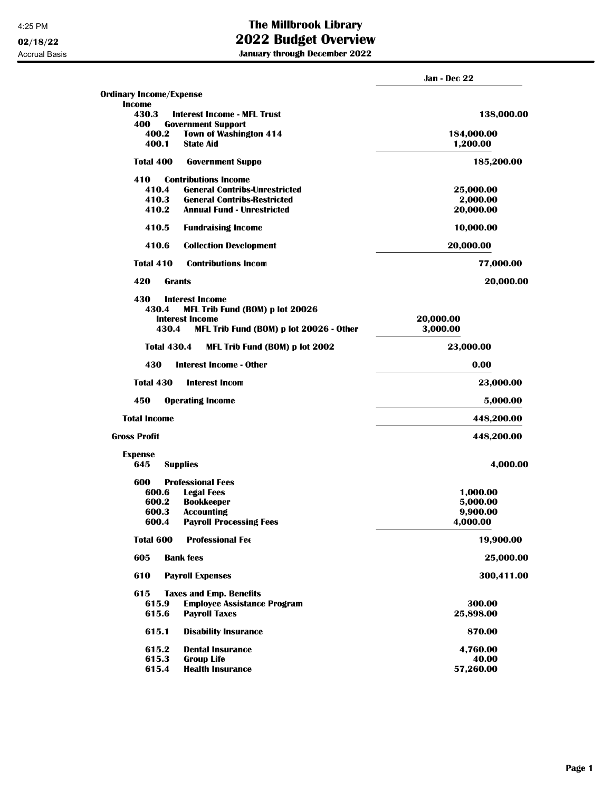## 4:25 PM **The Millbrook Library 02/18/22 2022 Budget Overview**

Accrual Basis **January through December 2022**

|                                                                 | <b>Jan - Dec 22</b> |
|-----------------------------------------------------------------|---------------------|
| <b>Ordinary Income/Expense</b>                                  |                     |
| Income                                                          |                     |
| 430.3 · Interest Income - MFL Trust<br>400 · Government Support | 138,000.00          |
| 400.2 • Town of Washington 414                                  | 184,000.00          |
| $400.1 \cdot$ State Aid                                         | 1,200.00            |
|                                                                 |                     |
| <b>Total 400 · Government Suppor</b>                            | 185,200.00          |
| 410 • Contributions Income                                      |                     |
| 410.4 General Contribs-Unrestricted                             | 25,000.00           |
| 410.3 General Contribs-Restricted                               | 2,000.00            |
| 410.2 · Annual Fund - Unrestricted                              | 20,000.00           |
| $410.5$ · Fundraising Income                                    | 10,000.00           |
| 410.6 • Collection Development                                  | 20,000.00           |
| Total 410 · Contributions Incom                                 | 77,000.00           |
| $420 \cdot$ Grants                                              | 20,000.00           |
| 430 · Interest Income                                           |                     |
| 430.4 · MFL Trib Fund (BOM) p lot 20026                         |                     |
| <b>Interest Income</b>                                          | 20,000.00           |
| 430.4 · MFL Trib Fund (BOM) p lot 20026 - Other                 | 3,000.00            |
| Total $430.4 \cdot$ MFL Trib Fund (BOM) p lot 2002              | 23,000.00           |
| 430 · Interest Income - Other                                   | 0.00                |
| Total 430 · Interest Incom                                      | 23,000.00           |
| 450 • Operating Income                                          | 5,000.00            |
| <b>Total Income</b>                                             | 448,200.00          |
| <b>Gross Profit</b>                                             | 448,200.00          |
| <b>Expense</b>                                                  |                     |
| 645.<br><b>Supplies</b>                                         | 4,000.00            |
| 600 · Professional Fees                                         |                     |
| 600.6 · Legal Fees                                              | 1,000.00            |
| 600.2 · Bookkeeper                                              | 5.000.00            |
| 600.3 · Accounting                                              | 9,900.00            |
| 600.4 • Payroll Processing Fees                                 | 4,000.00            |
| Total 600 · Professional Fee                                    | 19.900.00           |
| $605 -$<br><b>Bank fees</b>                                     | 25,000.00           |
| 610 · Payroll Expenses                                          | 300,411.00          |
| 615 · Taxes and Emp. Benefits                                   |                     |
| <b>Employee Assistance Program</b><br>$615.9$ $\cdot$           | 300.00              |
| $615.6 \cdot$<br><b>Payroll Taxes</b>                           | 25,898.00           |
| 615.1.<br><b>Disability Insurance</b>                           | 870.00              |
| 615.2.<br><b>Dental Insurance</b>                               | 4,760.00            |
| 615.3 Group Life                                                | 40.00               |
| 615.4.<br><b>Health Insurance</b>                               | 57,260.00           |
|                                                                 |                     |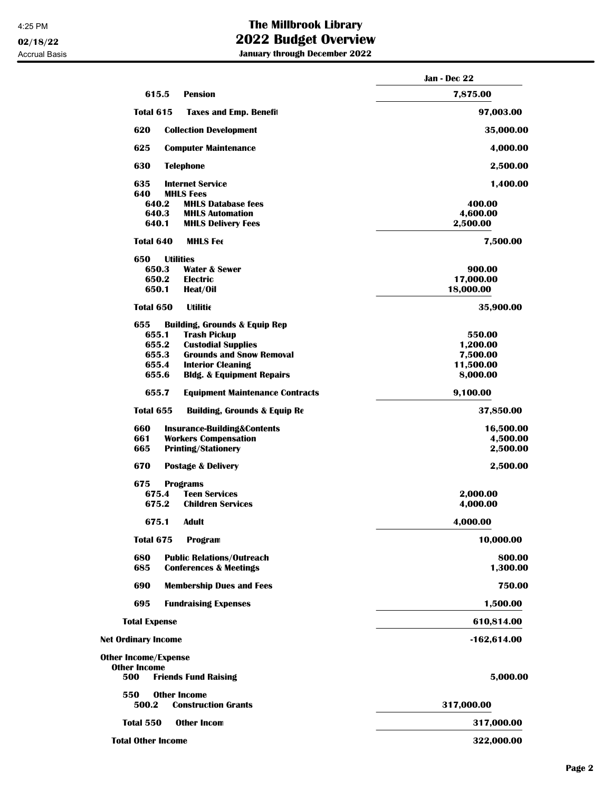## 4:25 PM **The Millbrook Library 02/18/22 2022 Budget Overview**

Accrual Basis **January through December 2022**

|                                                         | <b>Jan - Dec 22</b> |
|---------------------------------------------------------|---------------------|
| $615.5$ Pension                                         | 7,875.00            |
| Total 615 • Taxes and Emp. Benefit                      | 97,003.00           |
| 620.<br><b>Collection Development</b>                   | 35,000.00           |
| 625.<br><b>Computer Maintenance</b>                     | 4,000.00            |
| 630 ·<br><b>Telephone</b>                               | 2,500.00            |
| 635 -<br><b>Internet Service</b>                        | 1,400.00            |
| 640 · MHLS Fees                                         |                     |
| 640.2 • MHLS Database fees                              | 400.00              |
| 640.3 MHLS Automation                                   | 4,600.00            |
| 640.1 MHLS Delivery Fees                                | 2,500.00            |
| Total 640 · MHLS Fee                                    | 7,500.00            |
| 650 · Utilities<br>650.3 Water & Sewer                  | 900.00              |
| $650.2$ Electric                                        | 17,000.00           |
| 650.1 · Heat/Oil                                        | 18,000.00           |
|                                                         |                     |
| Total 650 · Utilitic                                    | 35,900.00           |
| 655 · Building, Grounds & Equip Rep                     |                     |
| 655.1 · Trash Pickup                                    | 550.00              |
| 655.2 Custodial Supplies                                | 1,200.00            |
| 655.3 Grounds and Snow Removal                          | 7,500.00            |
| 655.4 · Interior Cleaning                               | 11,500.00           |
| 655.6 · Bldg. & Equipment Repairs                       | 8,000.00            |
| $655.7 \cdot$<br><b>Equipment Maintenance Contracts</b> | 9,100.00            |
| Total 655 · Building, Grounds & Equip Re                | 37,850.00           |
| 660 · Insurance-Building&Contents                       | 16,500.00           |
| 661 · Workers Compensation                              | 4,500.00            |
| 665 · Printing/Stationery                               | 2,500.00            |
| 670 ·<br><b>Postage &amp; Delivery</b>                  | 2,500.00            |
| 675 · Programs                                          |                     |
| 675.4.<br><b>Teen Services</b>                          | 2,000.00            |
| 675.2 • Children Services                               | 4,000.00            |
| $675.1 -$ Adult                                         | 4,000.00            |
| Total 675 · Program                                     | 10,000.00           |
| 680 ·<br><b>Public Relations/Outreach</b>               | 800.00              |
| $685 -$<br><b>Conferences &amp; Meetings</b>            | 1,300.00            |
| 690 -<br><b>Membership Dues and Fees</b>                | 750.00              |
| 695 • Fundraising Expenses                              | 1,500.00            |
| <b>Total Expense</b>                                    | 610,814.00          |
| <b>Net Ordinary Income</b>                              | $-162,614.00$       |
| <b>Other Income/Expense</b>                             |                     |
| <b>Other Income</b>                                     |                     |
| 500 · Friends Fund Raising                              | 5,000.00            |
| 550 · Other Income                                      |                     |
| <b>Construction Grants</b><br>500.2 $\cdot$             | 317,000.00          |
| <b>Total <math>550 \cdot</math></b> Other Incom         | 317,000.00          |
| <b>Total Other Income</b>                               | 322,000.00          |
|                                                         |                     |